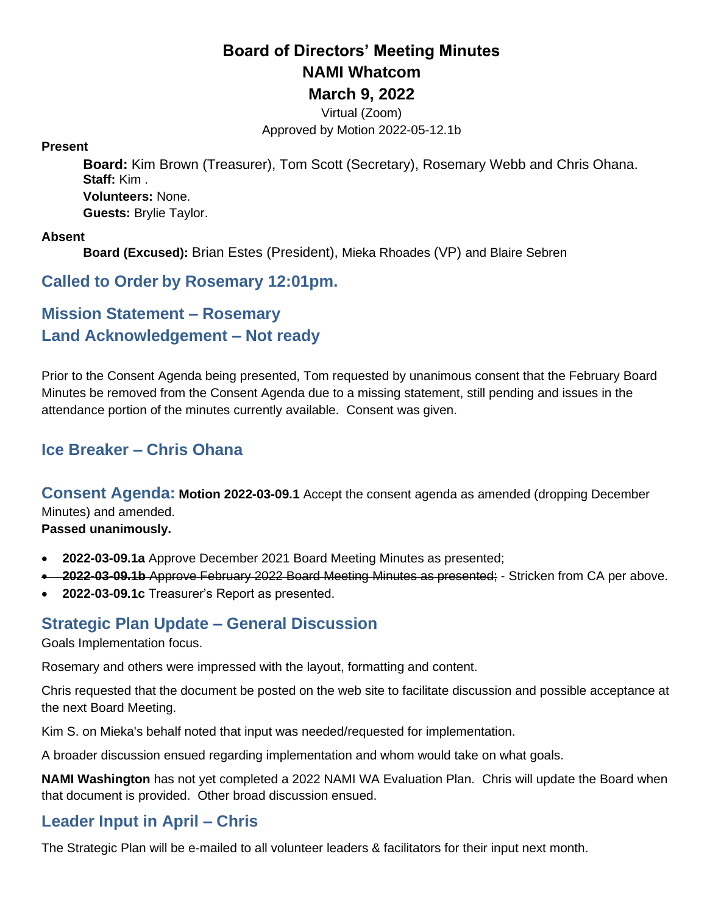## **Board of Directors' Meeting Minutes NAMI Whatcom March 9, 2022**

Virtual (Zoom) Approved by Motion 2022-05-12.1b

#### **Present**

**Board:** Kim Brown (Treasurer), Tom Scott (Secretary), Rosemary Webb and Chris Ohana. **Staff:** Kim . **Volunteers:** None. **Guests:** Brylie Taylor.

#### **Absent**

**Board (Excused):** Brian Estes (President), Mieka Rhoades (VP) and Blaire Sebren

### **Called to Order by Rosemary 12:01pm.**

## **Mission Statement – Rosemary Land Acknowledgement – Not ready**

Prior to the Consent Agenda being presented, Tom requested by unanimous consent that the February Board Minutes be removed from the Consent Agenda due to a missing statement, still pending and issues in the attendance portion of the minutes currently available. Consent was given.

## **Ice Breaker – Chris Ohana**

**Consent Agenda: Motion 2022-03-09.1** Accept the consent agenda as amended (dropping December Minutes) and amended.

**Passed unanimously.**

- **2022-03-09.1a** Approve December 2021 Board Meeting Minutes as presented;
- **2022-03-09.1b** Approve February 2022 Board Meeting Minutes as presented; Stricken from CA per above.
- **2022-03-09.1c** Treasurer's Report as presented.

### **Strategic Plan Update – General Discussion**

Goals Implementation focus.

Rosemary and others were impressed with the layout, formatting and content.

Chris requested that the document be posted on the web site to facilitate discussion and possible acceptance at the next Board Meeting.

Kim S. on Mieka's behalf noted that input was needed/requested for implementation.

A broader discussion ensued regarding implementation and whom would take on what goals.

**NAMI Washington** has not yet completed a 2022 NAMI WA Evaluation Plan. Chris will update the Board when that document is provided. Other broad discussion ensued.

### **Leader Input in April – Chris**

The Strategic Plan will be e-mailed to all volunteer leaders & facilitators for their input next month.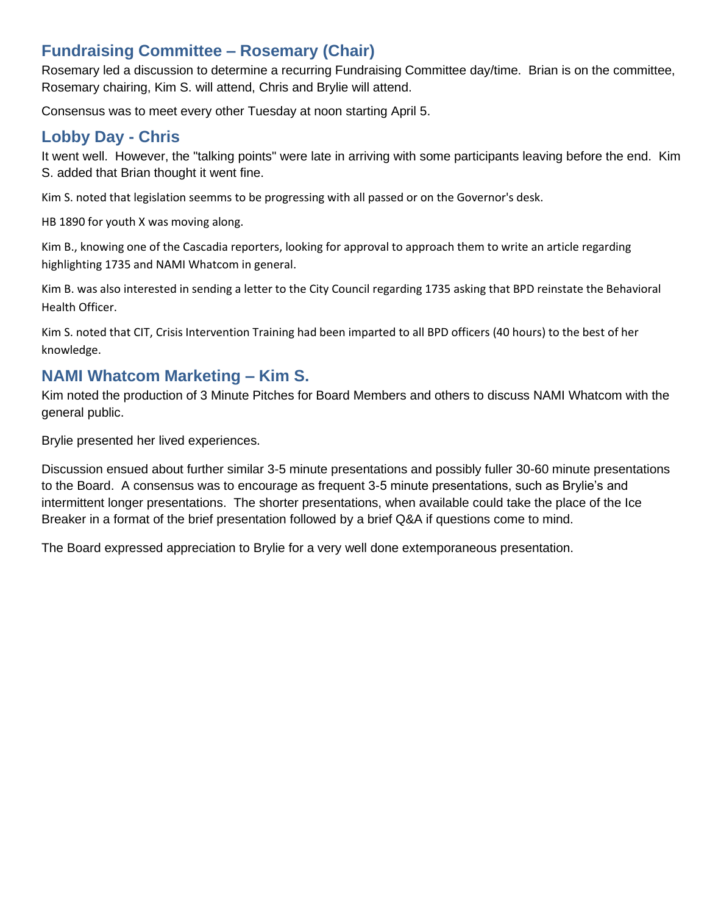### **Fundraising Committee – Rosemary (Chair)**

Rosemary led a discussion to determine a recurring Fundraising Committee day/time. Brian is on the committee, Rosemary chairing, Kim S. will attend, Chris and Brylie will attend.

Consensus was to meet every other Tuesday at noon starting April 5.

#### **Lobby Day - Chris**

It went well. However, the "talking points" were late in arriving with some participants leaving before the end. Kim S. added that Brian thought it went fine.

Kim S. noted that legislation seemms to be progressing with all passed or on the Governor's desk.

HB 1890 for youth X was moving along.

Kim B., knowing one of the Cascadia reporters, looking for approval to approach them to write an article regarding highlighting 1735 and NAMI Whatcom in general.

Kim B. was also interested in sending a letter to the City Council regarding 1735 asking that BPD reinstate the Behavioral Health Officer.

Kim S. noted that CIT, Crisis Intervention Training had been imparted to all BPD officers (40 hours) to the best of her knowledge.

#### **NAMI Whatcom Marketing – Kim S.**

Kim noted the production of 3 Minute Pitches for Board Members and others to discuss NAMI Whatcom with the general public.

Brylie presented her lived experiences.

Discussion ensued about further similar 3-5 minute presentations and possibly fuller 30-60 minute presentations to the Board. A consensus was to encourage as frequent 3-5 minute presentations, such as Brylie's and intermittent longer presentations. The shorter presentations, when available could take the place of the Ice Breaker in a format of the brief presentation followed by a brief Q&A if questions come to mind.

The Board expressed appreciation to Brylie for a very well done extemporaneous presentation.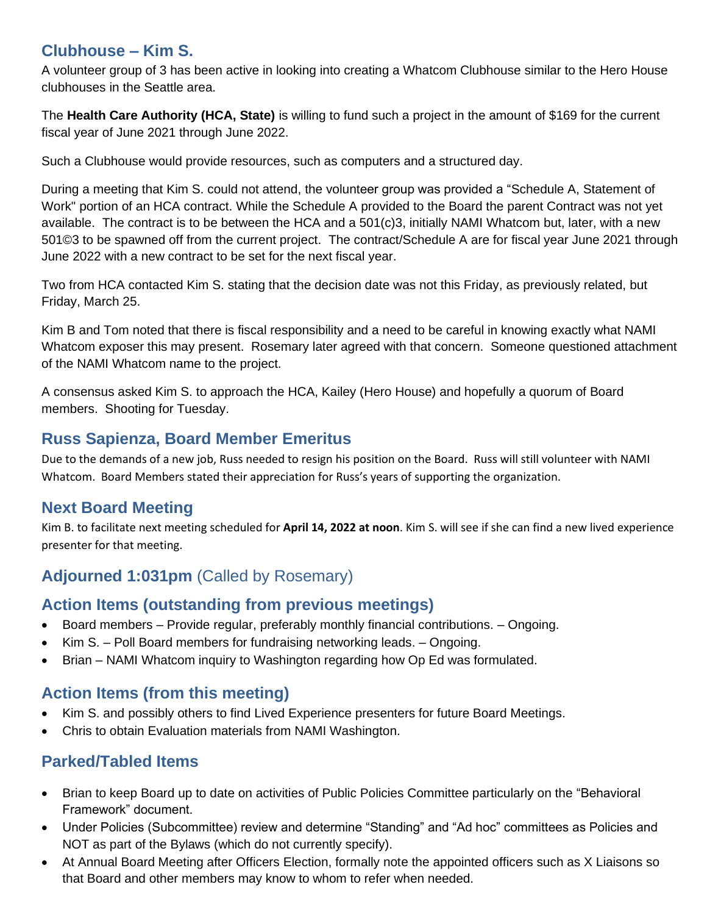### **Clubhouse – Kim S.**

A volunteer group of 3 has been active in looking into creating a Whatcom Clubhouse similar to the Hero House clubhouses in the Seattle area.

The **Health Care Authority (HCA, State)** is willing to fund such a project in the amount of \$169 for the current fiscal year of June 2021 through June 2022.

Such a Clubhouse would provide resources, such as computers and a structured day.

During a meeting that Kim S. could not attend, the volunteer group was provided a "Schedule A, Statement of Work" portion of an HCA contract. While the Schedule A provided to the Board the parent Contract was not yet available. The contract is to be between the HCA and a 501(c)3, initially NAMI Whatcom but, later, with a new 501©3 to be spawned off from the current project. The contract/Schedule A are for fiscal year June 2021 through June 2022 with a new contract to be set for the next fiscal year.

Two from HCA contacted Kim S. stating that the decision date was not this Friday, as previously related, but Friday, March 25.

Kim B and Tom noted that there is fiscal responsibility and a need to be careful in knowing exactly what NAMI Whatcom exposer this may present. Rosemary later agreed with that concern. Someone questioned attachment of the NAMI Whatcom name to the project.

A consensus asked Kim S. to approach the HCA, Kailey (Hero House) and hopefully a quorum of Board members. Shooting for Tuesday.

### **Russ Sapienza, Board Member Emeritus**

Due to the demands of a new job, Russ needed to resign his position on the Board. Russ will still volunteer with NAMI Whatcom. Board Members stated their appreciation for Russ's years of supporting the organization.

### **Next Board Meeting**

Kim B. to facilitate next meeting scheduled for **April 14, 2022 at noon**. Kim S. will see if she can find a new lived experience presenter for that meeting.

# **Adjourned 1:031pm** (Called by Rosemary)

### **Action Items (outstanding from previous meetings)**

- Board members Provide regular, preferably monthly financial contributions. Ongoing.
- Kim S. Poll Board members for fundraising networking leads. Ongoing.
- Brian NAMI Whatcom inquiry to Washington regarding how Op Ed was formulated.

### **Action Items (from this meeting)**

- Kim S. and possibly others to find Lived Experience presenters for future Board Meetings.
- Chris to obtain Evaluation materials from NAMI Washington.

### **Parked/Tabled Items**

- Brian to keep Board up to date on activities of Public Policies Committee particularly on the "Behavioral Framework" document.
- Under Policies (Subcommittee) review and determine "Standing" and "Ad hoc" committees as Policies and NOT as part of the Bylaws (which do not currently specify).
- At Annual Board Meeting after Officers Election, formally note the appointed officers such as X Liaisons so that Board and other members may know to whom to refer when needed.